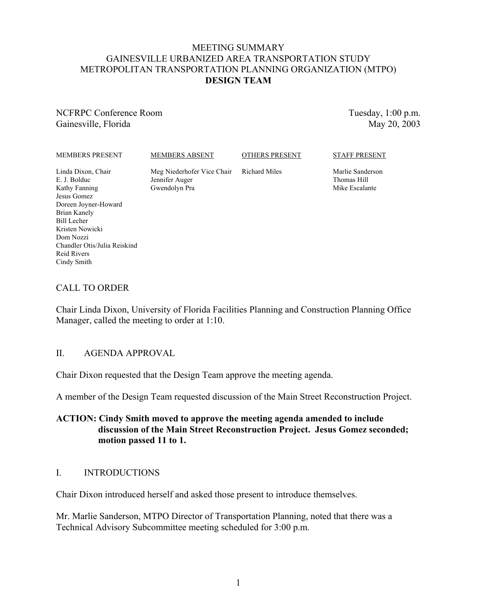#### MEETING SUMMARY GAINESVILLE URBANIZED AREA TRANSPORTATION STUDY METROPOLITAN TRANSPORTATION PLANNING ORGANIZATION (MTPO) **DESIGN TEAM**

NCFRPC Conference Room Gainesville, Florida

Tuesday, 1:00 p.m. May 20, 2003

MEMBERS PRESENT

MEMBERS ABSENT

OTHERS PRESENT

Linda Dixon, Chair E. J. Bolduc Kathy Fanning Jesus Gomez Doreen Joyner-Howard Brian Kanely Bill Lecher Kristen Nowicki Dom Nozzi Chandler Otis/Julia Reiskind Reid Rivers Cindy Smith

Meg Niederhofer Vice Chair Jennifer Auger Gwendolyn Pra

Richard Miles

STAFF PRESENT

Marlie Sanderson Thomas Hill Mike Escalante

## CALL TO ORDER

Chair Linda Dixon, University of Florida Facilities Planning and Construction Planning Office Manager, called the meeting to order at 1:10.

### II. AGENDA APPROVAL

Chair Dixon requested that the Design Team approve the meeting agenda.

A member of the Design Team requested discussion of the Main Street Reconstruction Project.

#### **ACTION: Cindy Smith moved to approve the meeting agenda amended to include discussion of the Main Street Reconstruction Project. Jesus Gomez seconded; motion passed 11 to 1.**

### I. INTRODUCTIONS

Chair Dixon introduced herself and asked those present to introduce themselves.

Mr. Marlie Sanderson, MTPO Director of Transportation Planning, noted that there was a Technical Advisory Subcommittee meeting scheduled for 3:00 p.m.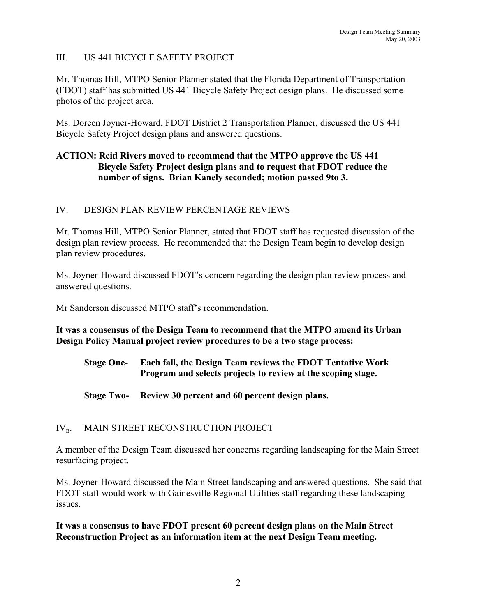# III. US 441 BICYCLE SAFETY PROJECT

Mr. Thomas Hill, MTPO Senior Planner stated that the Florida Department of Transportation (FDOT) staff has submitted US 441 Bicycle Safety Project design plans. He discussed some photos of the project area.

Ms. Doreen Joyner-Howard, FDOT District 2 Transportation Planner, discussed the US 441 Bicycle Safety Project design plans and answered questions.

## **ACTION: Reid Rivers moved to recommend that the MTPO approve the US 441 Bicycle Safety Project design plans and to request that FDOT reduce the number of signs. Brian Kanely seconded; motion passed 9to 3.**

### IV. DESIGN PLAN REVIEW PERCENTAGE REVIEWS

Mr. Thomas Hill, MTPO Senior Planner, stated that FDOT staff has requested discussion of the design plan review process. He recommended that the Design Team begin to develop design plan review procedures.

Ms. Joyner-Howard discussed FDOT's concern regarding the design plan review process and answered questions.

Mr Sanderson discussed MTPO staff's recommendation.

**It was a consensus of the Design Team to recommend that the MTPO amend its Urban Design Policy Manual project review procedures to be a two stage process:**

- **Stage One- Each fall, the Design Team reviews the FDOT Tentative Work Program and selects projects to review at the scoping stage.**
- **Stage Two- Review 30 percent and 60 percent design plans.**

# IV<sub>B</sub>. MAIN STREET RECONSTRUCTION PROJECT

A member of the Design Team discussed her concerns regarding landscaping for the Main Street resurfacing project.

Ms. Joyner-Howard discussed the Main Street landscaping and answered questions. She said that FDOT staff would work with Gainesville Regional Utilities staff regarding these landscaping issues.

**It was a consensus to have FDOT present 60 percent design plans on the Main Street Reconstruction Project as an information item at the next Design Team meeting.**